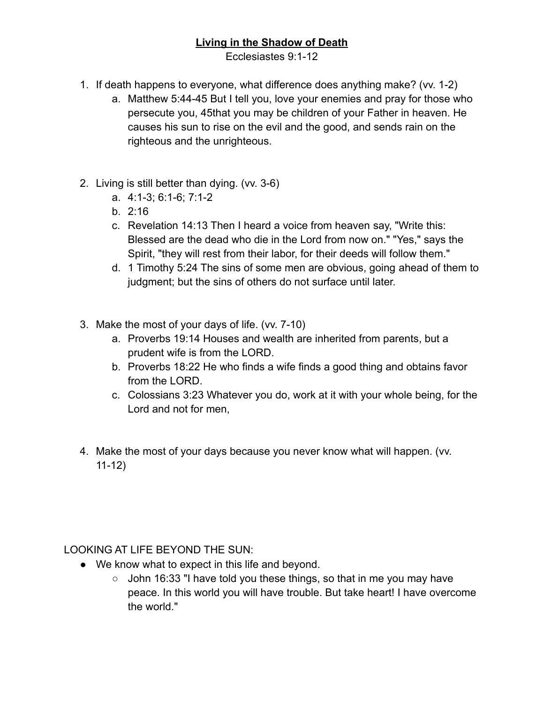## **Living in the Shadow of Death**

Ecclesiastes 9:1-12

- 1. If death happens to everyone, what difference does anything make? (vv. 1-2)
	- a. Matthew 5:44-45 But I tell you, love your enemies and pray for those who persecute you, 45that you may be children of your Father in heaven. He causes his sun to rise on the evil and the good, and sends rain on the righteous and the unrighteous.
- 2. Living is still better than dying. (vv. 3-6)
	- a. 4:1-3; 6:1-6; 7:1-2
	- b. 2:16
	- c. Revelation 14:13 Then I heard a voice from heaven say, "Write this: Blessed are the dead who die in the Lord from now on." "Yes," says the Spirit, "they will rest from their labor, for their deeds will follow them."
	- d. 1 Timothy 5:24 The sins of some men are obvious, going ahead of them to judgment; but the sins of others do not surface until later.
- 3. Make the most of your days of life. (vv. 7-10)
	- a. Proverbs 19:14 Houses and wealth are inherited from parents, but a prudent wife is from the LORD.
	- b. Proverbs 18:22 He who finds a wife finds a good thing and obtains favor from the LORD.
	- c. Colossians 3:23 Whatever you do, work at it with your whole being, for the Lord and not for men,
- 4. Make the most of your days because you never know what will happen. (vv. 11-12)

LOOKING AT LIFE BEYOND THE SUN:

- We know what to expect in this life and beyond.
	- $\circ$  John 16:33 "I have told you these things, so that in me you may have peace. In this world you will have trouble. But take heart! I have overcome the world."